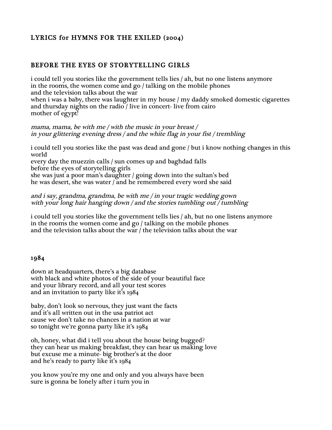# LYRICS for HYMNS FOR THE EXILED (2004)

### BEFORE THE EYES OF STORYTELLING GIRLS

i could tell you stories like the government tells lies / ah, but no one listens anymore in the rooms, the women come and go / talking on the mobile phones and the television talks about the war when i was a baby, there was laughter in my house / my daddy smoked domestic cigarettes and thursday nights on the radio / live in concert- live from cairo

mother of egypt!

mama, mama, be with me / with the music in your breast / in your glittering evening dress / and the white flag in your fist / trembling

i could tell you stories like the past was dead and gone / but i know nothing changes in this world every day the muezzin calls / sun comes up and baghdad falls before the eyes of storytelling girls she was just a poor man's daughter / going down into the sultan's bed

he was desert, she was water / and he remembered every word she said

and i say, grandma, grandma, be with me / in your tragic wedding gown with your long hair hanging down / and the stories tumbling out / tumbling

i could tell you stories like the government tells lies / ah, but no one listens anymore in the rooms the women come and go / talking on the mobile phones and the television talks about the war / the television talks about the war

#### 1984

down at headquarters, there's a big database with black and white photos of the side of your beautiful face and your library record, and all your test scores and an invitation to party like it's 1984

baby, don't look so nervous, they just want the facts and it's all written out in the usa patriot act cause we don't take no chances in a nation at war so tonight we're gonna party like it's 1984

oh, honey, what did i tell you about the house being bugged? they can hear us making breakfast, they can hear us making love but excuse me a minute- big brother's at the door and he's ready to party like it's 1984

you know you're my one and only and you always have been sure is gonna be lonely after i turn you in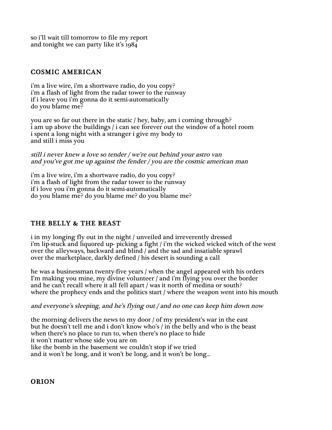so i'll wait till tomorrow to file my report and tonight we can party like it's 1984

# COSMIC AMERICAN

i'm a live wire, i'm a shortwave radio, do you copy? i'm a flash of light from the radar tower to the runway if i leave you i'm gonna do it semi-automatically do you blame me?

you are so far out there in the static / hey, baby, am i coming through? i am up above the buildings / i can see forever out the window of a hotel room i spent a long night with a stranger i give my body to and still i miss you

still i never knew a love so tender / we're out behind your astro van and you've got me up against the fender / you are the cosmic american man

i'm a live wire, i'm a shortwave radio, do you copy? i'm a flash of light from the radar tower to the runway if i love you i'm gonna do it semi-automatically do you blame me? do you blame me? do you blame me?

## THE BELLY & THE BEAST

i in my longing fly out in the night / unveiled and irreverently dressed i'm lip-stuck and liquored up- picking a fight / i'm the wicked wicked witch of the west over the alleyways, backward and blind / and the sad and insatiable sprawl over the marketplace, darkly defined / his desert is sounding a call

he was a businessman twenty-five years / when the angel appeared with his orders I'm making you mine, my divine volunteer / and i'm flying you over the border and he can't recall where it all fell apart / was it north of medina or south? where the prophecy ends and the politics start / where the weapon went into his mouth

### and everyone's sleeping, and he's flying out / and no one can keep him down now

the morning delivers the news to my door / of my president's war in the east but he doesn't tell me and i don't know who's / in the belly and who is the beast when there's no place to run to, when there's no place to hide it won't matter whose side you are on like the bomb in the basement we couldn't stop if we tried and it won't be long, and it won't be long, and it won't be long...

ORION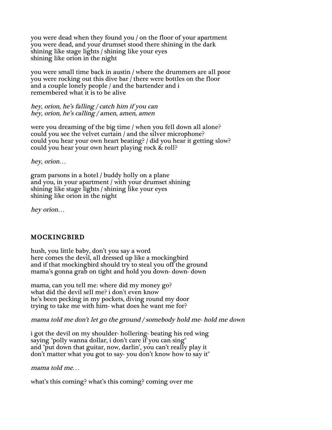you were dead when they found you / on the floor of your apartment you were dead, and your drumset stood there shining in the dark shining like stage lights / shining like your eyes shining like orion in the night

you were small time back in austin / where the drummers are all poor you were rocking out this dive bar / there were bottles on the floor and a couple lonely people / and the bartender and i remembered what it is to be alive

hey, orion, he's falling / catch him if you can hey, orion, he's calling / amen, amen, amen

were you dreaming of the big time / when you fell down all alone? could you see the velvet curtain / and the silver microphone? could you hear your own heart beating? / did you hear it getting slow? could you hear your own heart playing rock & roll?

hey, orion…

gram parsons in a hotel / buddy holly on a plane and you, in your apartment / with your drumset shining shining like stage lights / shining like your eyes shining like orion in the night

hey orion…

### MOCKINGBIRD

hush, you little baby, don't you say a word here comes the devil, all dressed up like a mockingbird and if that mockingbird should try to steal you off the ground mama's gonna grab on tight and hold you down- down- down

mama, can you tell me: where did my money go? what did the devil sell me? i don't even know he's been pecking in my pockets, diving round my door trying to take me with him- what does he want me for?

mama told me don't let go the ground / somebody hold me- hold me down

i got the devil on my shoulder- hollering- beating his red wing saying "polly wanna dollar, i don't care if you can sing" and "put down that guitar, now, darlin', you can't really play it don't matter what you got to say- you don't know how to say it"

mama told me…

what's this coming? what's this coming? coming over me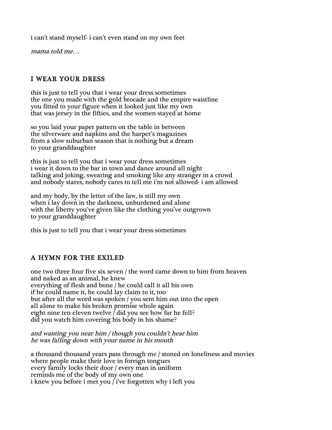i can't stand myself- i can't even stand on my own feet

mama told me…

## I WEAR YOUR DRESS

this is just to tell you that i wear your dress sometimes the one you made with the gold brocade and the empire waistline you fitted to your figure when it looked just like my own that was jersey in the fifties, and the women stayed at home

so you laid your paper pattern on the table in between the silverware and napkins and the harper's magazines from a slow suburban season that is nothing but a dream to your granddaughter

this is just to tell you that i wear your dress sometimes i wear it down to the bar in town and dance around all night talking and joking, swearing and smoking like any stranger in a crowd and nobody stares, nobody cares to tell me i'm not allowed- i am allowed

and my body, by the letter of the law, is still my own when i lay down in the darkness, unburdened and alone with the liberty you've given like the clothing you've outgrown to your granddaughter

this is just to tell you that i wear your dress sometimes

## A HYMN FOR THE EXILED

one two three four five six seven / the word came down to him from heaven and naked as an animal, he knew everything of flesh and bone / he could call it all his own if he could name it, he could lay claim to it, too but after all the word was spoken / you sent him out into the open all alone to make his broken promise whole again eight nine ten eleven twelve / did you see how far he fell? did you watch him covering his body in his shame?

and wanting you near him / though you couldn't hear him he was falling down with your name in his mouth

a thousand thousand years pass through me / stoned on loneliness and movies where people make their love in foreign tongues every family locks their door / every man in uniform reminds me of the body of my own one i knew you before i met you / i've forgotten why i left you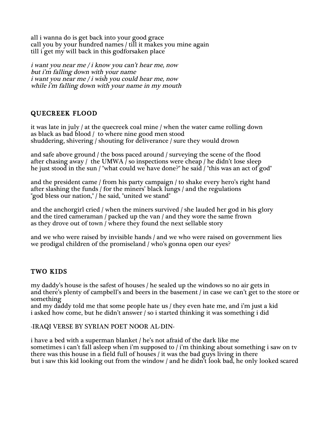all i wanna do is get back into your good grace call you by your hundred names / till it makes you mine again till i get my will back in this godforsaken place

i want you near me / i know you can't hear me, now but i'm falling down with your name i want you near me / i wish you could hear me, now while i'm falling down with your name in my mouth

## QUECREEK FLOOD

it was late in july / at the quecreek coal mine / when the water came rolling down as black as bad blood / to where nine good men stood shuddering, shivering / shouting for deliverance / sure they would drown

and safe above ground / the boss paced around / surveying the scene of the flood after chasing away / the UMWA / so inspections were cheap / he didn't lose sleep he just stood in the sun / "what could we have done?" he said / "this was an act of god"

and the president came / from his party campaign / to shake every hero's right hand after slashing the funds / for the miners' black lungs / and the regulations "god bless our nation," / he said, "united we stand"

and the anchorgirl cried / when the miners survived / she lauded her god in his glory and the tired cameraman / packed up the van / and they wore the same frown as they drove out of town / where they found the next sellable story

and we who were raised by invisible hands / and we who were raised on government lies we prodigal children of the promiseland / who's gonna open our eyes?

# TWO KIDS

my daddy's house is the safest of houses / he sealed up the windows so no air gets in and there's plenty of campbell's and beers in the basement / in case we can't get to the store or something

and my daddy told me that some people hate us / they even hate me, and i'm just a kid i asked how come, but he didn't answer / so i started thinking it was something i did

-IRAQI VERSE BY SYRIAN POET NOOR AL-DIN-

i have a bed with a superman blanket / he's not afraid of the dark like me sometimes i can't fall asleep when i'm supposed to / i'm thinking about something i saw on tv there was this house in a field full of houses / it was the bad guys living in there but i saw this kid looking out from the window / and he didn't look bad, he only looked scared